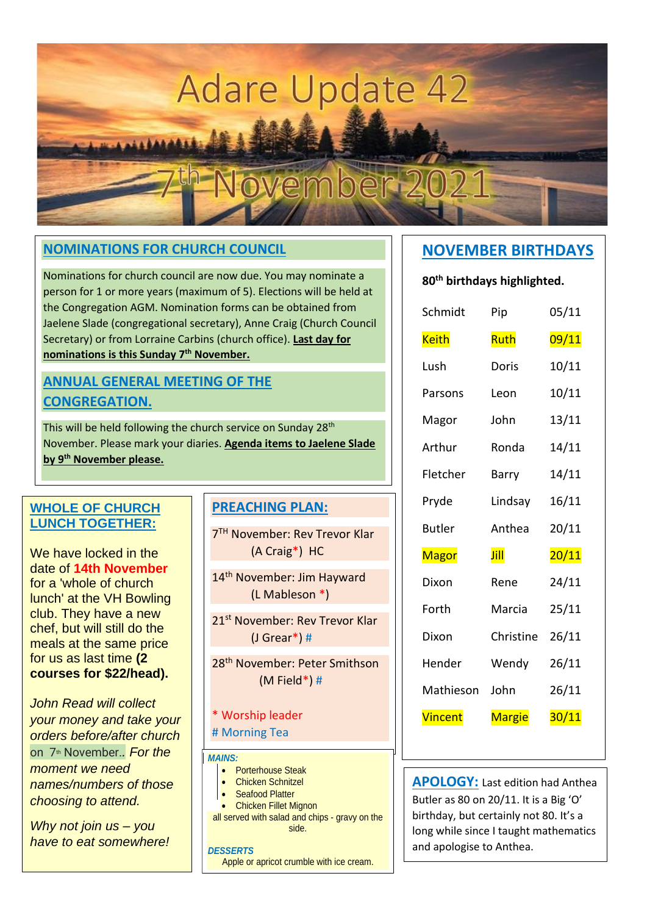# **Adare Update 42**

ovember 2

#### **NOMINATIONS FOR CHURCH COUNCIL**

Nominations for church council are now due. You may nominate a person for 1 or more years (maximum of 5). Elections will be held at the Congregation AGM. Nomination forms can be obtained from Jaelene Slade (congregational secretary), Anne Craig (Church Council Secretary) or from Lorraine Carbins (church office). **Last day for nominations is this Sunday 7th November.**

#### **ANNUAL GENERAL MEETING OF THE CONGREGATION.**

This will be held following the church service on Sunday 28<sup>th</sup> November. Please mark your diaries. **Agenda items to Jaelene Slade by 9 th November please.**

#### **WHOLE OF CHURCH LUNCH TOGETHER:**

We have locked in the date of **14th November**  for a 'whole of church lunch' at the VH Bowling club. They have a new chef, but will still do the meals at the same price for us as last time **(2 courses for \$22/head).**

*John Read will collect your money and take your orders before/after church*  on 7th November.*. For the moment we need names/numbers of those choosing to attend.*

*Why not join us – you have to eat somewhere!*

#### **PREACHING PLAN:**

7 TH November: Rev Trevor Klar (A Craig\*) HC

14<sup>th</sup> November: Jim Hayward (L Mableson \*)

21st November: Rev Trevor Klar (J Grear\*) #

28th November: Peter Smithson (M Field\*) #

#### \* Worship leader

# Morning Tea

#### *MAINS:*

- Porterhouse Steak
- Chicken Schnitzel
- Seafood Platter
- Chicken Fillet Mignon

all served with salad and chips - gravy on the side.

#### *DESSERTS*

Apple or apricot crumble with ice cream.

#### **NOVEMBER BIRTHDAYS**

**80th birthdays highlighted.**

| Schmidt        | Pip           | 05/11 |
|----------------|---------------|-------|
| <b>Keith</b>   | Ruth          | 09/11 |
| Lush           | Doris         | 10/11 |
| Parsons        | Leon          | 10/11 |
| Magor          | John          | 13/11 |
| Arthur         | Ronda         | 14/11 |
| Fletcher       | Barry         | 14/11 |
| Pryde          | Lindsay       | 16/11 |
| <b>Butler</b>  | Anthea        | 20/11 |
| <b>Magor</b>   | Jill          | 20/11 |
| Dixon          | Rene          | 24/11 |
| Forth          | Marcia        | 25/11 |
| Dixon          | Christine     | 26/11 |
| Hender         | Wendy         | 26/11 |
| Mathieson      | John          | 26/11 |
| <b>Vincent</b> | <b>Margie</b> | 30/11 |

**APOLOGY:** Last edition had Anthea Butler as 80 on 20/11. It is a Big 'O' birthday, but certainly not 80. It's a long while since I taught mathematics and apologise to Anthea.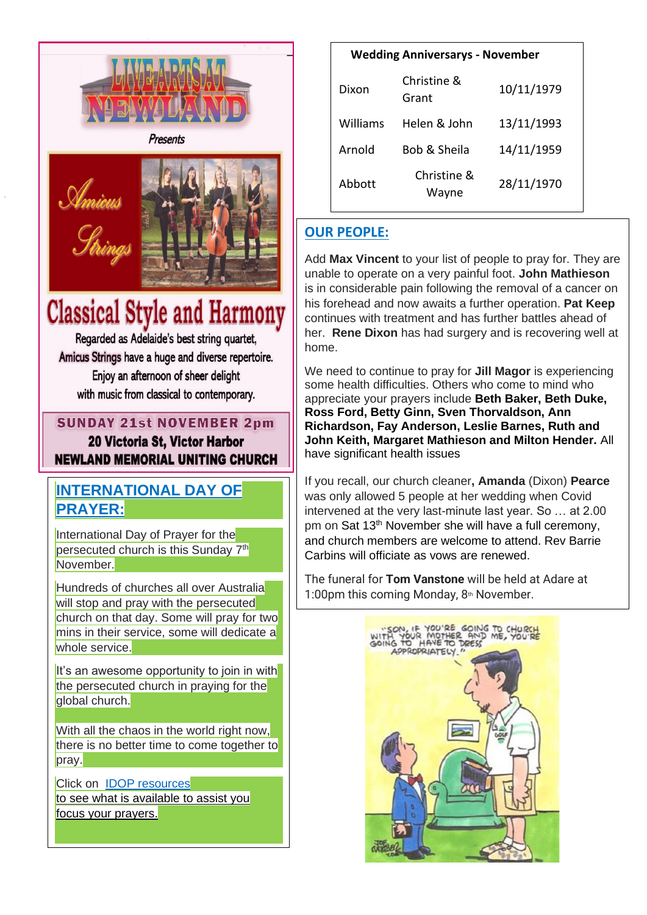

Presents



## **Classical Style and Harmony**

Regarded as Adelaide's best string quartet, Amicus Strings have a huge and diverse repertoire. Enjoy an afternoon of sheer delight with music from classical to contemporary.

## **SUNDAY 21st NOVEMBER 2pm**

20 Victoria St, Victor Harbor **NEWLAND MEMORIAL UNITING CHURCH** 

## **INTERNATIONAL DAY OF PRAYER:**

International Day of Prayer for the persecuted church is this Sunday 7<sup>th</sup> November.

**Hundreds of churches all over Australia** will stop and pray with the persecuted church on that day. Some will pray for two mins in their service, some will dedicate a whole service.

It's an awesome opportunity to join in with the persecuted church in praying for the qlobal church.

With all the chaos in the world right now, there is no better time to come together to pray.

Click on [IDOP resources](https://www.opendoors.org.au/get-involved/the-power-of-prayer/the-power-of-prayer-church-resources) to see what is available to assist you focus your prayers.

| <b>Wedding Anniversarys - November</b> |                      |            |  |
|----------------------------------------|----------------------|------------|--|
| Dixon                                  | Christine &<br>Grant | 10/11/1979 |  |
| Williams                               | Helen & John         | 13/11/1993 |  |
| Arnold                                 | Bob & Sheila         | 14/11/1959 |  |
| Abbott                                 | Christine &<br>Wayne | 28/11/1970 |  |

## **OUR PEOPLE:**

Add **Max Vincent** to your list of people to pray for. They are unable to operate on a very painful foot. **John Mathieson**  is in considerable pain following the removal of a cancer on his forehead and now awaits a further operation. **Pat Keep** continues with treatment and has further battles ahead of her. **Rene Dixon** has had surgery and is recovering well at home.

We need to continue to pray for **Jill Magor** is experiencing some health difficulties. Others who come to mind who appreciate your prayers include **Beth Baker, Beth Duke, Ross Ford, Betty Ginn, Sven Thorvaldson, Ann Richardson, Fay Anderson, Leslie Barnes, Ruth and John Keith, Margaret Mathieson and Milton Hender.** All have significant health issues

If you recall, our church cleaner**, Amanda** (Dixon) **Pearce** was only allowed 5 people at her wedding when Covid intervened at the very last-minute last year. So … at 2.00 pm on Sat 13<sup>th</sup> November she will have a full ceremony, and church members are welcome to attend. Rev Barrie Carbins will officiate as vows are renewed.

The funeral for **Tom Vanstone** will be held at Adare at 1:00pm this coming Monday,  $8<sup>th</sup>$  November.

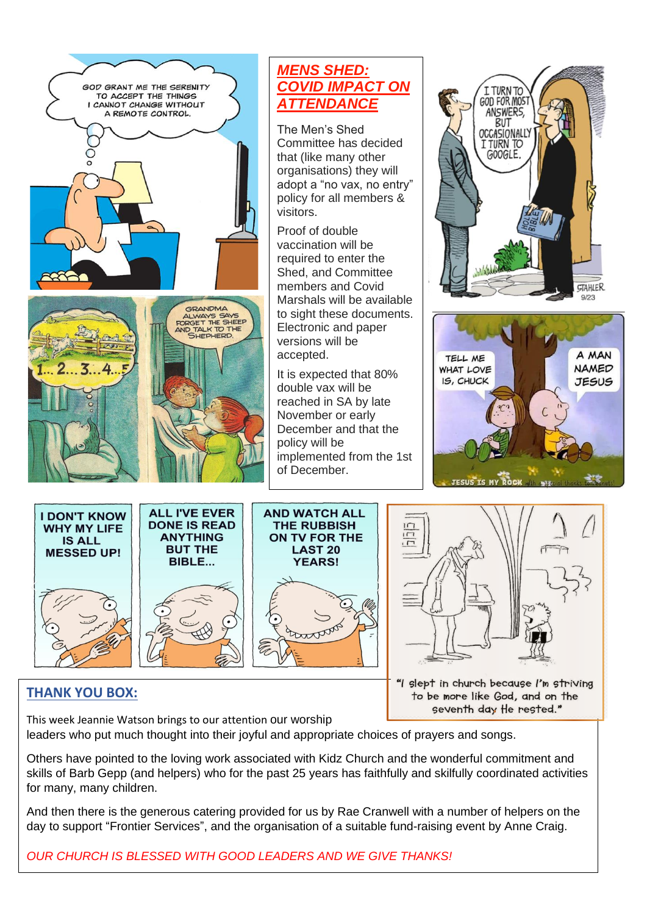

### *MENS SHED: COVID IMPACT ON ATTENDANCE*

The Men's Shed Committee has decided that (like many other organisations) they will adopt a "no vax, no entry" policy for all members & visitors.

Proof of double vaccination will be required to enter the Shed, and Committee members and Covid Marshals will be available to sight these documents. Electronic and paper versions will be accepted.

It is expected that 80% double vax will be reached in SA by late November or early December and that the policy will be implemented from the 1st of December.

I TURN TO GOD FOR MOST **ANSWERS BUT** OCCASIONALLY I TURN TO GOOGLE. *GTAHLER*  $Q/23$ 











#### **THANK YOU BOX:**

"I slept in church because I'm striving to be more like God, and on the seventh day the rested."

This week Jeannie Watson brings to our attention our worship leaders who put much thought into their joyful and appropriate choices of prayers and songs.

Others have pointed to the loving work associated with Kidz Church and the wonderful commitment and skills of Barb Gepp (and helpers) who for the past 25 years has faithfully and skilfully coordinated activities for many, many children.

And then there is the generous catering provided for us by Rae Cranwell with a number of helpers on the day to support "Frontier Services", and the organisation of a suitable fund-raising event by Anne Craig.

*OUR CHURCH IS BLESSED WITH GOOD LEADERS AND WE GIVE THANKS!*